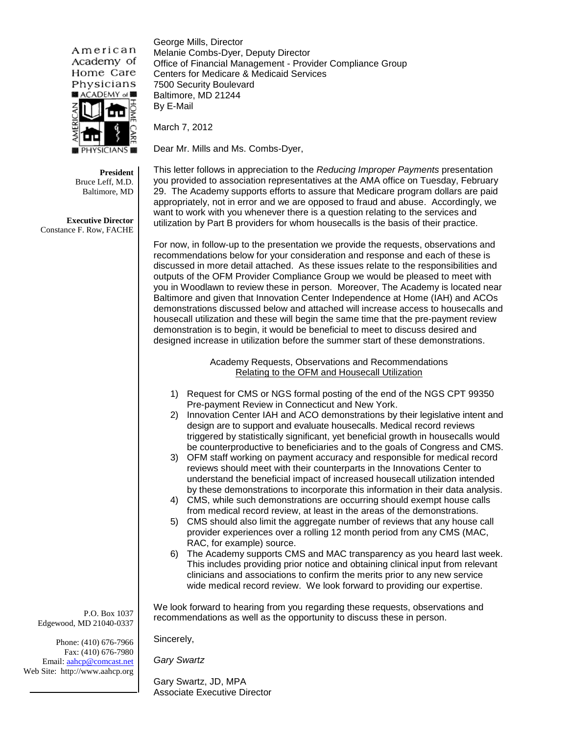American Academy of Home Care Physicians ■ ACADEMY of

George Mills, Director Melanie Combs-Dyer, Deputy Director Office of Financial Management - Provider Compliance Group Centers for Medicare & Medicaid Services 7500 Security Boulevard Baltimore, MD 21244 By E-Mail

March 7, 2012

Dear Mr. Mills and Ms. Combs-Dyer,

**President**  Bruce Leff, M.D. Baltimore, MD

**Executive Director**  Constance F. Row, FACHE

This letter follows in appreciation to the *Reducing Improper Payments* presentation you provided to association representatives at the AMA office on Tuesday, February 29. The Academy supports efforts to assure that Medicare program dollars are paid appropriately, not in error and we are opposed to fraud and abuse. Accordingly, we want to work with you whenever there is a question relating to the services and utilization by Part B providers for whom housecalls is the basis of their practice.

For now, in follow-up to the presentation we provide the requests, observations and recommendations below for your consideration and response and each of these is discussed in more detail attached. As these issues relate to the responsibilities and outputs of the OFM Provider Compliance Group we would be pleased to meet with you in Woodlawn to review these in person. Moreover, The Academy is located near Baltimore and given that Innovation Center Independence at Home (IAH) and ACOs demonstrations discussed below and attached will increase access to housecalls and housecall utilization and these will begin the same time that the pre-payment review demonstration is to begin, it would be beneficial to meet to discuss desired and designed increase in utilization before the summer start of these demonstrations.

> Academy Requests, Observations and Recommendations Relating to the OFM and Housecall Utilization

- 1) Request for CMS or NGS formal posting of the end of the NGS CPT 99350 Pre-payment Review in Connecticut and New York.
- 2) Innovation Center IAH and ACO demonstrations by their legislative intent and design are to support and evaluate housecalls. Medical record reviews triggered by statistically significant, yet beneficial growth in housecalls would be counterproductive to beneficiaries and to the goals of Congress and CMS.
- 3) OFM staff working on payment accuracy and responsible for medical record reviews should meet with their counterparts in the Innovations Center to understand the beneficial impact of increased housecall utilization intended by these demonstrations to incorporate this information in their data analysis.
- 4) CMS, while such demonstrations are occurring should exempt house calls from medical record review, at least in the areas of the demonstrations.
- 5) CMS should also limit the aggregate number of reviews that any house call provider experiences over a rolling 12 month period from any CMS (MAC, RAC, for example) source.
- 6) The Academy supports CMS and MAC transparency as you heard last week. This includes providing prior notice and obtaining clinical input from relevant clinicians and associations to confirm the merits prior to any new service wide medical record review. We look forward to providing our expertise.

We look forward to hearing from you regarding these requests, observations and recommendations as well as the opportunity to discuss these in person.

 P.O. Box 1037 Edgewood, MD 21040-0337

Phone: (410) 676-7966 Fax: (410) 676-7980 Email: [aahcp@comcast.net](mailto:aahcp@comcast.net) Web Site: http://www.aahcp.org Sincerely,

*Gary Swartz*

Gary Swartz, JD, MPA Associate Executive Director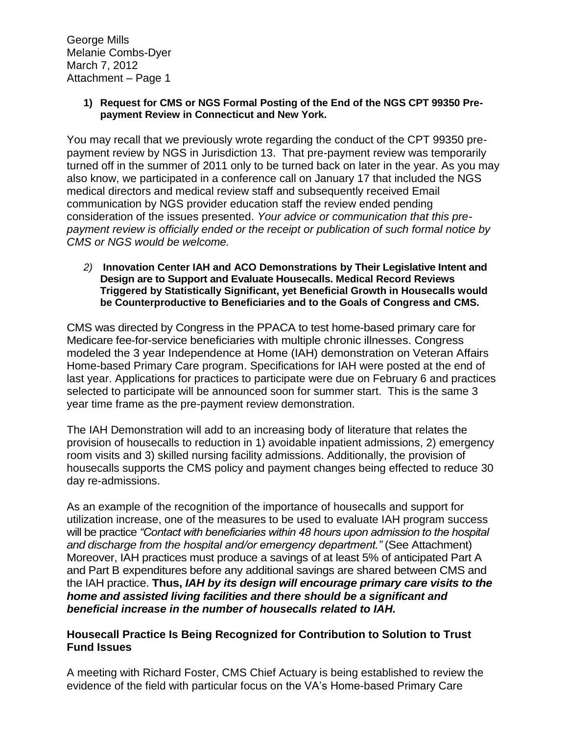George Mills Melanie Combs-Dyer March 7, 2012 Attachment – Page 1

> **1) Request for CMS or NGS Formal Posting of the End of the NGS CPT 99350 Prepayment Review in Connecticut and New York.**

You may recall that we previously wrote regarding the conduct of the CPT 99350 prepayment review by NGS in Jurisdiction 13. That pre-payment review was temporarily turned off in the summer of 2011 only to be turned back on later in the year. As you may also know, we participated in a conference call on January 17 that included the NGS medical directors and medical review staff and subsequently received Email communication by NGS provider education staff the review ended pending consideration of the issues presented. *Your advice or communication that this prepayment review is officially ended or the receipt or publication of such formal notice by CMS or NGS would be welcome.*

*2)* **Innovation Center IAH and ACO Demonstrations by Their Legislative Intent and Design are to Support and Evaluate Housecalls. Medical Record Reviews Triggered by Statistically Significant, yet Beneficial Growth in Housecalls would be Counterproductive to Beneficiaries and to the Goals of Congress and CMS.**

CMS was directed by Congress in the PPACA to test home-based primary care for Medicare fee-for-service beneficiaries with multiple chronic illnesses. Congress modeled the 3 year Independence at Home (IAH) demonstration on Veteran Affairs Home-based Primary Care program. Specifications for IAH were posted at the end of last year. Applications for practices to participate were due on February 6 and practices selected to participate will be announced soon for summer start. This is the same 3 year time frame as the pre-payment review demonstration.

The IAH Demonstration will add to an increasing body of literature that relates the provision of housecalls to reduction in 1) avoidable inpatient admissions, 2) emergency room visits and 3) skilled nursing facility admissions. Additionally, the provision of housecalls supports the CMS policy and payment changes being effected to reduce 30 day re-admissions.

As an example of the recognition of the importance of housecalls and support for utilization increase, one of the measures to be used to evaluate IAH program success will be practice *"Contact with beneficiaries within 48 hours upon admission to the hospital and discharge from the hospital and/or emergency department."* (See Attachment) Moreover, IAH practices must produce a savings of at least 5% of anticipated Part A and Part B expenditures before any additional savings are shared between CMS and the IAH practice. **Thus,** *IAH by its design will encourage primary care visits to the home and assisted living facilities and there should be a significant and beneficial increase in the number of housecalls related to IAH.*

# **Housecall Practice Is Being Recognized for Contribution to Solution to Trust Fund Issues**

A meeting with Richard Foster, CMS Chief Actuary is being established to review the evidence of the field with particular focus on the VA's Home-based Primary Care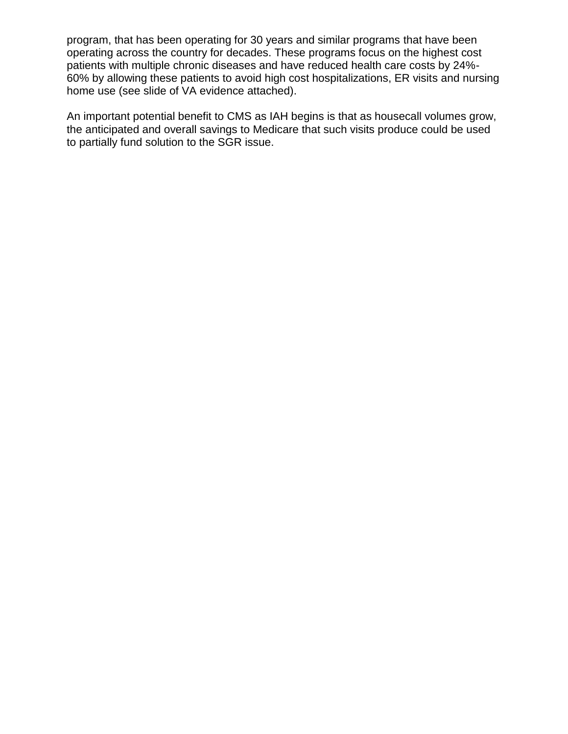program, that has been operating for 30 years and similar programs that have been operating across the country for decades. These programs focus on the highest cost patients with multiple chronic diseases and have reduced health care costs by 24%- 60% by allowing these patients to avoid high cost hospitalizations, ER visits and nursing home use (see slide of VA evidence attached).

An important potential benefit to CMS as IAH begins is that as housecall volumes grow, the anticipated and overall savings to Medicare that such visits produce could be used to partially fund solution to the SGR issue.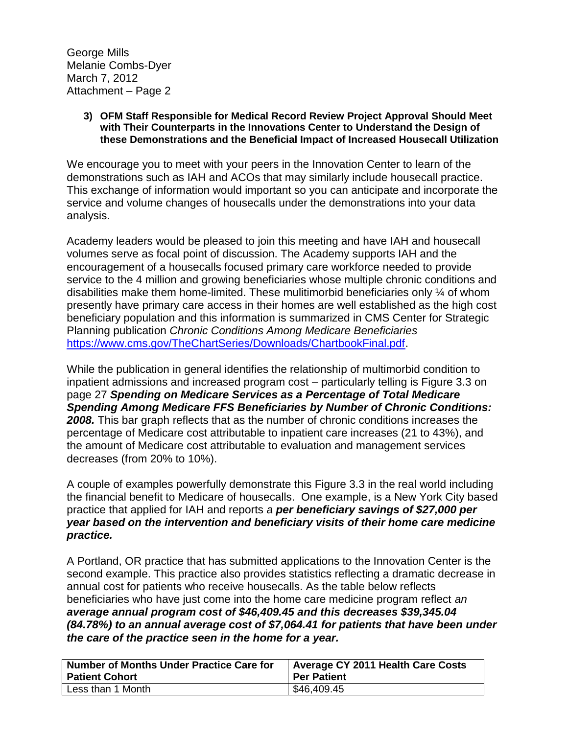George Mills Melanie Combs-Dyer March 7, 2012 Attachment – Page 2

#### **3) OFM Staff Responsible for Medical Record Review Project Approval Should Meet with Their Counterparts in the Innovations Center to Understand the Design of these Demonstrations and the Beneficial Impact of Increased Housecall Utilization**

We encourage you to meet with your peers in the Innovation Center to learn of the demonstrations such as IAH and ACOs that may similarly include housecall practice. This exchange of information would important so you can anticipate and incorporate the service and volume changes of housecalls under the demonstrations into your data analysis.

Academy leaders would be pleased to join this meeting and have IAH and housecall volumes serve as focal point of discussion. The Academy supports IAH and the encouragement of a housecalls focused primary care workforce needed to provide service to the 4 million and growing beneficiaries whose multiple chronic conditions and disabilities make them home-limited. These mulitimorbid beneficiaries only ¼ of whom presently have primary care access in their homes are well established as the high cost beneficiary population and this information is summarized in CMS Center for Strategic Planning publication *Chronic Conditions Among Medicare Beneficiaries*  [https://www.cms.gov/TheChartSeries/Downloads/ChartbookFinal.pdf.](https://www.cms.gov/TheChartSeries/Downloads/ChartbookFinal.pdf)

While the publication in general identifies the relationship of multimorbid condition to inpatient admissions and increased program cost – particularly telling is Figure 3.3 on page 27 *Spending on Medicare Services as a Percentage of Total Medicare Spending Among Medicare FFS Beneficiaries by Number of Chronic Conditions:*  **2008.** This bar graph reflects that as the number of chronic conditions increases the percentage of Medicare cost attributable to inpatient care increases (21 to 43%), and the amount of Medicare cost attributable to evaluation and management services decreases (from 20% to 10%).

A couple of examples powerfully demonstrate this Figure 3.3 in the real world including the financial benefit to Medicare of housecalls. One example, is a New York City based practice that applied for IAH and reports *a per beneficiary savings of \$27,000 per year based on the intervention and beneficiary visits of their home care medicine practice.* 

A Portland, OR practice that has submitted applications to the Innovation Center is the second example. This practice also provides statistics reflecting a dramatic decrease in annual cost for patients who receive housecalls. As the table below reflects beneficiaries who have just come into the home care medicine program reflect *an average annual program cost of \$46,409.45 and this decreases \$39,345.04 (84.78%) to an annual average cost of \$7,064.41 for patients that have been under the care of the practice seen in the home for a year.*

| <b>Number of Months Under Practice Care for</b> | Average CY 2011 Health Care Costs |
|-------------------------------------------------|-----------------------------------|
| <b>Patient Cohort</b>                           | <b>Per Patient</b>                |
| Less than 1 Month                               | \$46,409.45                       |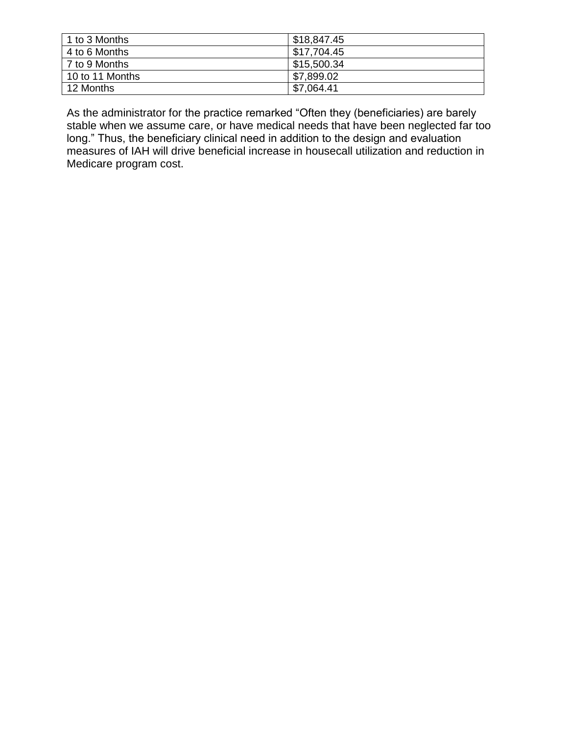| 1 to 3 Months   | \$18,847.45 |
|-----------------|-------------|
| 4 to 6 Months   | \$17,704.45 |
| l 7 to 9 Months | \$15,500.34 |
| 10 to 11 Months | \$7,899.02  |
| 12 Months       | \$7,064.41  |

As the administrator for the practice remarked "Often they (beneficiaries) are barely stable when we assume care, or have medical needs that have been neglected far too long." Thus, the beneficiary clinical need in addition to the design and evaluation measures of IAH will drive beneficial increase in housecall utilization and reduction in Medicare program cost.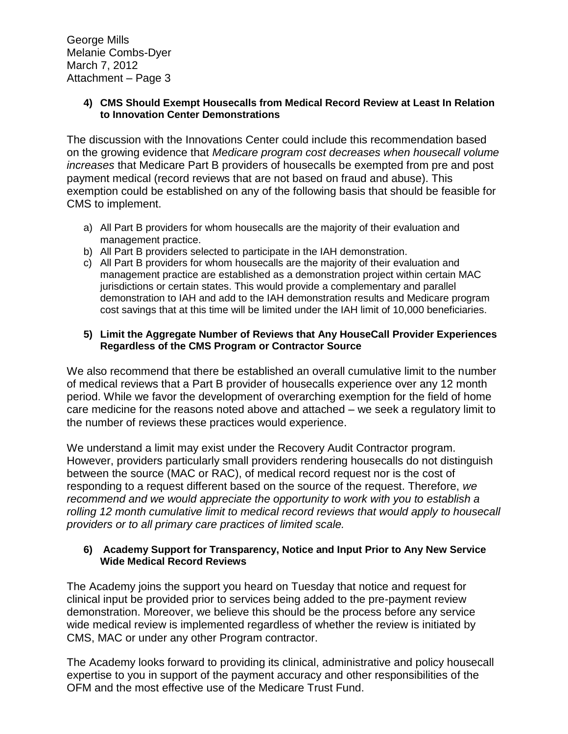George Mills Melanie Combs-Dyer March 7, 2012 Attachment – Page 3

# **4) CMS Should Exempt Housecalls from Medical Record Review at Least In Relation to Innovation Center Demonstrations**

The discussion with the Innovations Center could include this recommendation based on the growing evidence that *Medicare program cost decreases when housecall volume increases* that Medicare Part B providers of housecalls be exempted from pre and post payment medical (record reviews that are not based on fraud and abuse). This exemption could be established on any of the following basis that should be feasible for CMS to implement.

- a) All Part B providers for whom housecalls are the majority of their evaluation and management practice.
- b) All Part B providers selected to participate in the IAH demonstration.
- c) All Part B providers for whom housecalls are the majority of their evaluation and management practice are established as a demonstration project within certain MAC jurisdictions or certain states. This would provide a complementary and parallel demonstration to IAH and add to the IAH demonstration results and Medicare program cost savings that at this time will be limited under the IAH limit of 10,000 beneficiaries.

# **5) Limit the Aggregate Number of Reviews that Any HouseCall Provider Experiences Regardless of the CMS Program or Contractor Source**

We also recommend that there be established an overall cumulative limit to the number of medical reviews that a Part B provider of housecalls experience over any 12 month period. While we favor the development of overarching exemption for the field of home care medicine for the reasons noted above and attached – we seek a regulatory limit to the number of reviews these practices would experience.

We understand a limit may exist under the Recovery Audit Contractor program. However, providers particularly small providers rendering housecalls do not distinguish between the source (MAC or RAC), of medical record request nor is the cost of responding to a request different based on the source of the request. Therefore, *we recommend and we would appreciate the opportunity to work with you to establish a rolling 12 month cumulative limit to medical record reviews that would apply to housecall providers or to all primary care practices of limited scale.*

# **6) Academy Support for Transparency, Notice and Input Prior to Any New Service Wide Medical Record Reviews**

The Academy joins the support you heard on Tuesday that notice and request for clinical input be provided prior to services being added to the pre-payment review demonstration. Moreover, we believe this should be the process before any service wide medical review is implemented regardless of whether the review is initiated by CMS, MAC or under any other Program contractor.

The Academy looks forward to providing its clinical, administrative and policy housecall expertise to you in support of the payment accuracy and other responsibilities of the OFM and the most effective use of the Medicare Trust Fund.